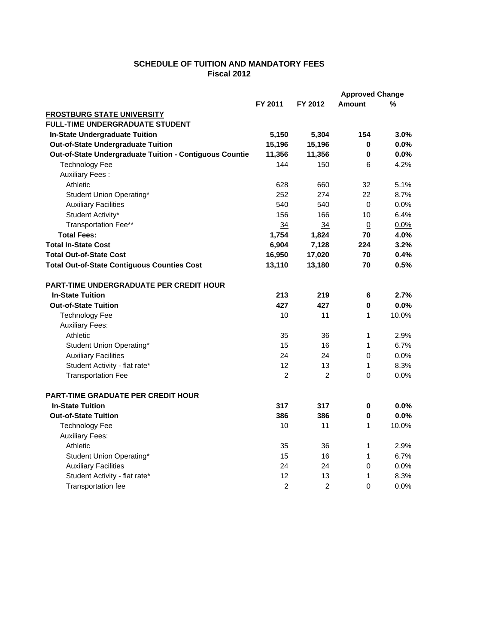## **SCHEDULE OF TUITION AND MANDATORY FEES Fiscal 2012**

|                                                         |                |                | <b>Approved Change</b> |          |
|---------------------------------------------------------|----------------|----------------|------------------------|----------|
|                                                         | FY 2011        | FY 2012        | Amount                 | <u>%</u> |
| <b>FROSTBURG STATE UNIVERSITY</b>                       |                |                |                        |          |
| <b>FULL-TIME UNDERGRADUATE STUDENT</b>                  |                |                |                        |          |
| In-State Undergraduate Tuition                          | 5,150          | 5,304          | 154                    | 3.0%     |
| <b>Out-of-State Undergraduate Tuition</b>               | 15,196         | 15,196         | 0                      | $0.0\%$  |
| Out-of-State Undergraduate Tuition - Contiguous Countie | 11,356         | 11,356         | 0                      | 0.0%     |
| <b>Technology Fee</b>                                   | 144            | 150            | 6                      | 4.2%     |
| <b>Auxiliary Fees:</b>                                  |                |                |                        |          |
| Athletic                                                | 628            | 660            | 32                     | 5.1%     |
| Student Union Operating*                                | 252            | 274            | 22                     | 8.7%     |
| <b>Auxiliary Facilities</b>                             | 540            | 540            | $\mathbf 0$            | 0.0%     |
| Student Activity*                                       | 156            | 166            | 10                     | 6.4%     |
| Transportation Fee**                                    | 34             | 34             | 0                      | 0.0%     |
| <b>Total Fees:</b>                                      | 1,754          | 1,824          | 70                     | 4.0%     |
| <b>Total In-State Cost</b>                              | 6,904          | 7,128          | 224                    | 3.2%     |
| <b>Total Out-of-State Cost</b>                          | 16,950         | 17,020         | 70                     | 0.4%     |
| <b>Total Out-of-State Contiguous Counties Cost</b>      | 13,110         | 13,180         | 70                     | 0.5%     |
| <b>PART-TIME UNDERGRADUATE PER CREDIT HOUR</b>          |                |                |                        |          |
| <b>In-State Tuition</b>                                 | 213            | 219            | 6                      | 2.7%     |
| <b>Out-of-State Tuition</b>                             | 427            | 427            | $\bf{0}$               | 0.0%     |
| <b>Technology Fee</b>                                   | 10             | 11             | $\mathbf{1}$           | 10.0%    |
| <b>Auxiliary Fees:</b>                                  |                |                |                        |          |
| Athletic                                                | 35             | 36             | $\mathbf{1}$           | 2.9%     |
| Student Union Operating*                                | 15             | 16             | $\mathbf{1}$           | 6.7%     |
| <b>Auxiliary Facilities</b>                             | 24             | 24             | 0                      | 0.0%     |
| Student Activity - flat rate*                           | 12             | 13             | $\mathbf{1}$           | 8.3%     |
| <b>Transportation Fee</b>                               | $\overline{2}$ | 2              | $\Omega$               | 0.0%     |
| <b>PART-TIME GRADUATE PER CREDIT HOUR</b>               |                |                |                        |          |
| <b>In-State Tuition</b>                                 | 317            | 317            | 0                      | $0.0\%$  |
| <b>Out-of-State Tuition</b>                             | 386            | 386            | $\pmb{0}$              | 0.0%     |
| <b>Technology Fee</b>                                   | 10             | 11             | $\mathbf{1}$           | 10.0%    |
| <b>Auxiliary Fees:</b>                                  |                |                |                        |          |
| Athletic                                                | 35             | 36             | 1                      | 2.9%     |
| Student Union Operating*                                | 15             | 16             | $\mathbf{1}$           | 6.7%     |
| <b>Auxiliary Facilities</b>                             | 24             | 24             | 0                      | 0.0%     |
| Student Activity - flat rate*                           | 12             | 13             | 1                      | 8.3%     |
| Transportation fee                                      | $\overline{2}$ | $\overline{2}$ | $\Omega$               | 0.0%     |